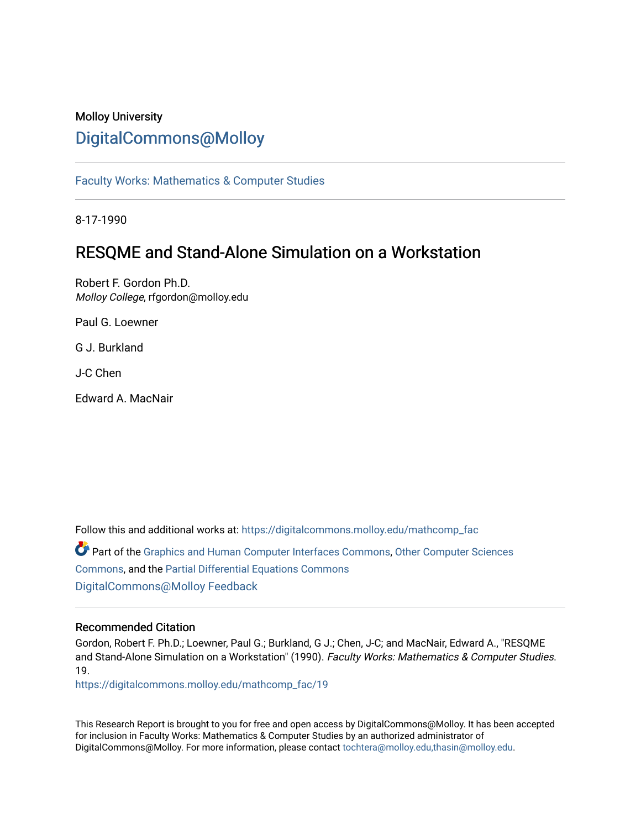## Molloy University [DigitalCommons@Molloy](https://digitalcommons.molloy.edu/)

[Faculty Works: Mathematics & Computer Studies](https://digitalcommons.molloy.edu/mathcomp_fac) 

8-17-1990

## RESQME and Stand-Alone Simulation on a Workstation

Robert F. Gordon Ph.D. Molloy College, rfgordon@molloy.edu

Paul G. Loewner

G J. Burkland

J-C Chen

Edward A. MacNair

Follow this and additional works at: [https://digitalcommons.molloy.edu/mathcomp\\_fac](https://digitalcommons.molloy.edu/mathcomp_fac?utm_source=digitalcommons.molloy.edu%2Fmathcomp_fac%2F19&utm_medium=PDF&utm_campaign=PDFCoverPages)

Part of the [Graphics and Human Computer Interfaces Commons,](https://network.bepress.com/hgg/discipline/146?utm_source=digitalcommons.molloy.edu%2Fmathcomp_fac%2F19&utm_medium=PDF&utm_campaign=PDFCoverPages) [Other Computer Sciences](https://network.bepress.com/hgg/discipline/152?utm_source=digitalcommons.molloy.edu%2Fmathcomp_fac%2F19&utm_medium=PDF&utm_campaign=PDFCoverPages)  [Commons](https://network.bepress.com/hgg/discipline/152?utm_source=digitalcommons.molloy.edu%2Fmathcomp_fac%2F19&utm_medium=PDF&utm_campaign=PDFCoverPages), and the [Partial Differential Equations Commons](https://network.bepress.com/hgg/discipline/120?utm_source=digitalcommons.molloy.edu%2Fmathcomp_fac%2F19&utm_medium=PDF&utm_campaign=PDFCoverPages)  [DigitalCommons@Molloy Feedback](https://molloy.libwizard.com/f/dcfeedback)

#### Recommended Citation

Gordon, Robert F. Ph.D.; Loewner, Paul G.; Burkland, G J.; Chen, J-C; and MacNair, Edward A., "RESQME and Stand-Alone Simulation on a Workstation" (1990). Faculty Works: Mathematics & Computer Studies. 19.

[https://digitalcommons.molloy.edu/mathcomp\\_fac/19](https://digitalcommons.molloy.edu/mathcomp_fac/19?utm_source=digitalcommons.molloy.edu%2Fmathcomp_fac%2F19&utm_medium=PDF&utm_campaign=PDFCoverPages) 

This Research Report is brought to you for free and open access by DigitalCommons@Molloy. It has been accepted for inclusion in Faculty Works: Mathematics & Computer Studies by an authorized administrator of DigitalCommons@Molloy. For more information, please contact [tochtera@molloy.edu,thasin@molloy.edu.](mailto:tochtera@molloy.edu,thasin@molloy.edu)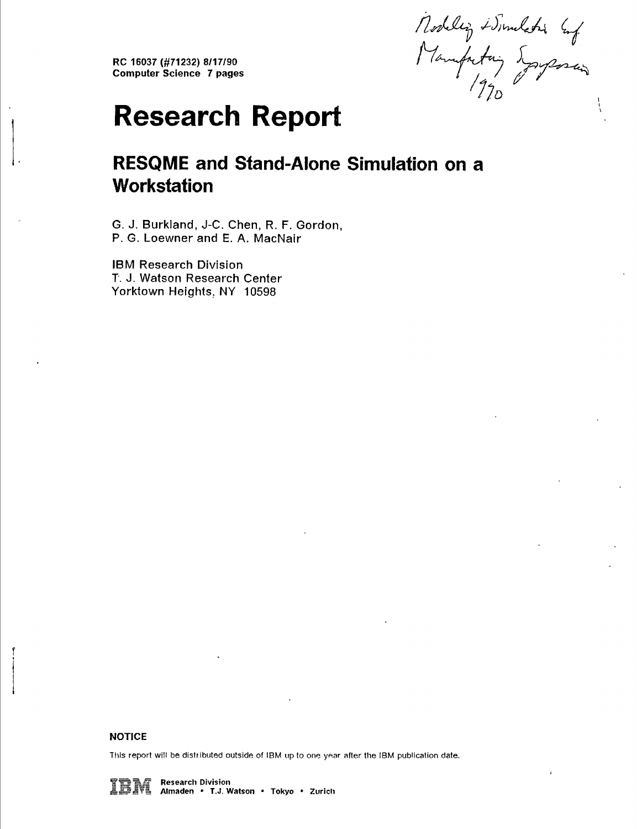**RC 16037 (#71232) 8/17/90 Computer Science 7 pages**

Nodelig + Sundatis Enf.<br>Manufactoring 5 grapes and

# **Research Report**

## **RESQME and Stand-Alone Simulation on a Workstation**

**G. J. Burkiand, J-C. Chen, R. F. Gordon, P. G. Loewner and E. A. MacNair**

**IBM Research Division T. J. Watson Research Center Yorktown Heights, NY 10598**

#### **NOTICE**

**Tills report will be disttibuted outside of IBM up to one year after the IBM publication date.**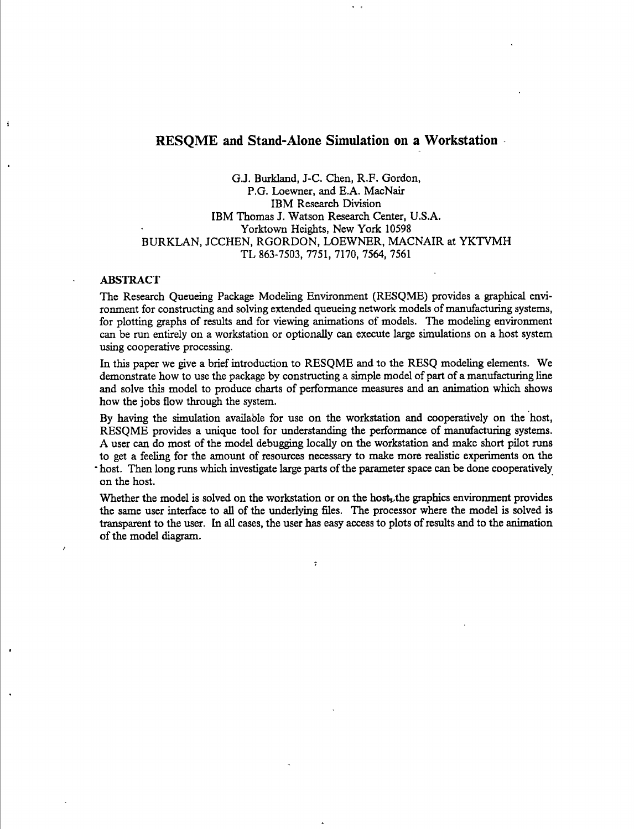#### **RESQME and Stand-Alone Simulation on a Workstation**

G.J. Burkland, J-C. Chen, R.F. Gordon, P.G. Loewner, and E.A. MacNair IBM Research Division IBM Thomas J. Watson Research Center, U.S.A. Yorktown Heights, New York 10598 BURKLAN, JCCHEN, RGORDON, LOEWNER. MACNAIR at YKTVMH TL 863-7503, 7751, 7170, 7564, 7561

#### ABSTRACT

ł

The Research Queueing Package Modeling Environment (RESQME) provides a graphical environment for constructing and solving extended queueing network models of manufacturing systems, for plotting graphs of results and for viewing animations of models. The modeling environment can be run entirely on a workstation or optionally can execute large simulations on a host system using cooperative processing.

In this paper we give a brief introduction to RESQME and to the RESQ modeling elements. We demonstrate how to use the package by constructing a simple model of part of a manufacturing line and solve this model to produce charts of performance measures and an animation which shows how the jobs flow through the system.

By having the simulation available for use on the workstation and cooperatively on the host, RESQME provides a unique tool for understanding the performance of manufacturing systems. A user can do most of the model debugging locally on the workstation and make short püot runs to get a feeling for the amount of resources necessary to make more realistic experiments on the • host. Then long runs which investigate large parts of the parameter space can be done cooperatively on the host.

Whether the model is solved on the workstation or on the host, the graphics environment provides the same user interface to all of the underlying files. The processor where the model is solved is transparent to the user. In aU cases, the user has easy access to plots ofresults and to the animation of the model diagram.

 $\overline{z}$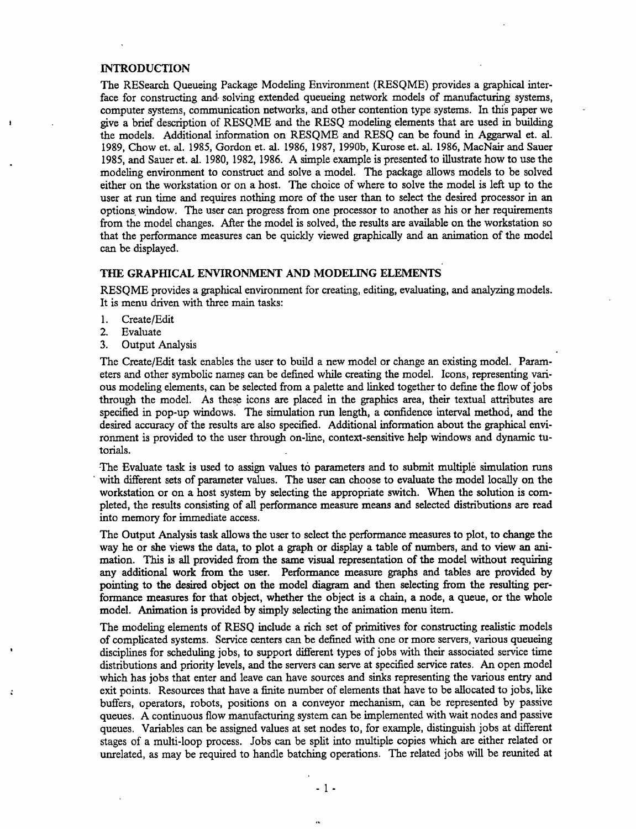#### INTRODUCTION

The RESearch Queueing Package Modeling Environment (RESQME) provides a graphical interface for constructing and solving extended queueing network models of manufacturing systems, computer systems, communication networks, and other contention type systems. In this paper we give a brief description of RESQME and the RESQ modeling elements that are used in building the models. Additional information on RESQME and RESQ can be formd in Aggarwal et. al. 1989, Chow et. al. 1985, Gordon et. al. 1986, 1987, 1990b, Kurose et. al. 1986, MacNair and Sauer 1985, and Sauer et. al. 1980, 1982, 1986. A simple example is presented to illustrate how to use the modeling environment to construct and solve a model. The package allows models to be solved either on the workstation or on a host. The choice of where to solve the model is left up to the user at run time and requires nothing more of the user than to select the desired processor in an options window. The user can progress from one processor to another as his or her requirements from the model changes. After the model is solved, the results are available on the workstation so that the performance measures can be quickly viewed graphically and an animation of the model can be displayed.

#### THE GRAPHICAL ENVIRONMENT AND MODELING ELEMENTS

RESQME provides a graphical environment for creating, editing, evaluating, and analyzing models. It is menu driven with three main tasks:

- 1. Create/Edit<br>2. Evaluate
- 2. Evaluate<br>3. Output A
- Output Analysis

The Create/Edit task enables the user to buüd a new model or change an existing model. Parameters and other symbolic names can be defined while creating the model. Icons, representing various modeling elements, can be selected from a palette and linked together to define the flow ofjobs through the model. As these icons are placed in the graphics area, their textual attributes are specified in pop-up windows. The simulation run length, a confidence interval method, and the desired accuracy of the results are also specified. Additional information about the graphical environment is provided to the user through on-line, context-sensitive help windows and dynamic tutorials.

-The Evaluate task is used to assign values to parameters and to submit multiple simulation runs with different sets of parameter values. The user can choose to evaluate the model locally on the workstation or on a host system by selecting the appropriate switch. When the solution is completed, the results consisting of all performance measure means and selected distributions are read into memory for immediate access.

The Output Analysis task allows the user to select the performance measures to plot, to change the way he or she views the data, to plot a graph or display a table of numbers, and to view an animation. This is all provided from the same visual representation of the model without requiring any additional work from the user. Performance measure graphs and tables are provided by pointing to the desired object on the model diagram and then selecting from the resulting performance measures for that object, whether the object is a chain, a node, a queue, or the whole model. Animation is provided by simply selecting the animation menu item.

The modeling elements of RESQ include a rich set of primitives for constructing realistic models of complicated systems. Service centers can be defined with one or more servers, various queueing disciplines for scheduling jobs, to support different types of jobs with their associated service time distributions and priority levels, and the servers can serve at specified service rates. An open model which has jobs that enter and leave can have sources and sinks representing the various entry and exit points. Resources that have a finite number of elements that have to be allocated to jobs, like buffers, operators, robots, positions on a conveyor mechanism, can be represented by passive queues. A continuous flow manufacturing system can be implemented with wait nodes and passive queues. Variables can be assigned values at set nodes to, for example, distinguish jobs at different stages of a multi-loop process. Jobs can be split into multiple copies which are either related or unrelated, as may be required to handle batching operations. The related jobs will be reunited at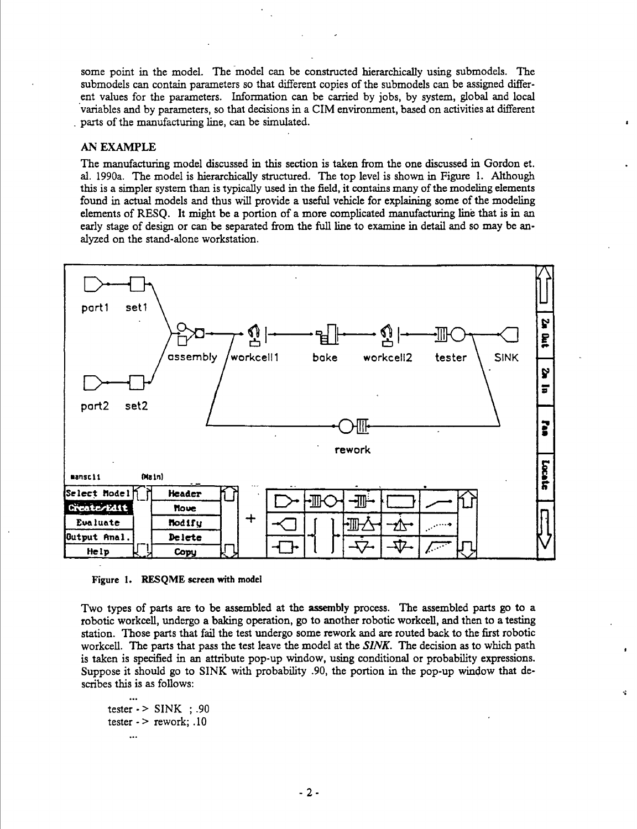some point in the model. The model can be constructed hierarchically using submodels. The submodels can contain parameters so that different copies of the submodels can be assigned different values for the parameters. Information can be carried by jobs, by system, global and local variables and by parameters, so that decisions in a CIM environment, based on activities at different parts of the manufacturing line, can be simulated.

#### AN EXAMPLE

The manufacturing model discussed in this section is taken from the one discussed in Gordon et. al. 1990a. The model is hierarchically structured. The top level is shown in Figure 1. Although this is a simpler system than is typically used in the field, it contains many of the modeling elements found in actual models and thus will provide a useful vehicle for explaining some of the modeling elements of RESQ. It might be a portion of a more complicated manufacturing line that is in an early stage of design or can be separated from the full line to examine in detail and so may be analyzed on the stand-alone workstation.



Figure I. RESQME screen with model

Two types of parts are to be assembled at the assembly process. The assembled parts go to a robotic workcell, undergo a baking operation, go to another robotic workcell, and then to a testing station. Those parts that fail the test imdergo some rework and are routed back to the first robotic workcell. The parts that pass the test leave the model at the *SINK.* The decision as to which path is taken is specified in an attribute pop-up window, using conditional or probability expressions. Suppose it should go to SINK with probability .90, the portion in the pop-up window that describes this is as follows:

Ń.

```
tester \cdot > SINK ; .90
tester \cdot > rework; .10
     \ddotsc
```
 $\ddotsc$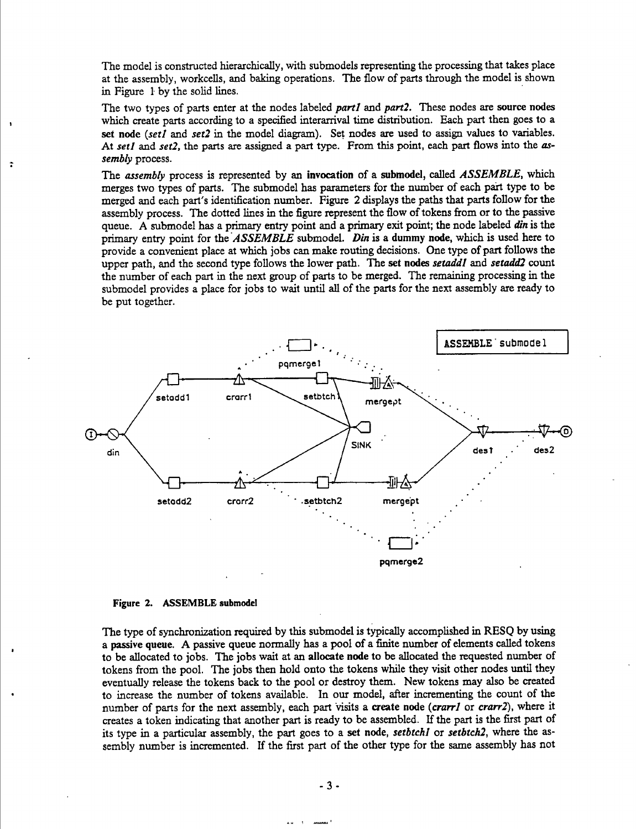The model is constructed hierarchically, with submodels representing the processing that takes place at the assembly, workcells, and baking operations. The flow of parts through the model is shown in Figure <sup>1</sup> by the solid lines.

The two types of parts enter at the nodes labeled *parti* and *parti.* These nodes are source nodes which create parts according to a specified interarrival time distribution. Each part then goes to a set node *{set!* and *set!* in the model diagram). Set nodes are used to assign values to variables. At *set!* and *seti,* the parts are assigned a part type. From this point, each part flows into the *assembly* process.

The *assembly* process is represented by an invocation of a submodel, called *ASSEMBLE,* which merges two types of parts. The submodel has parameters for the number of each part type to be merged and each part's identification number. Figure 2 displays the paths that parts follow for the assembly process. The dotted lines in the figure represent the flow of tokens from or to the passive queue. A submodel has a primary entry point and a primary exit point; the node labeled din is the primary entry point for the *ASSEMBLE* submodel. *Din* is a dummy node, which is used here to provide a convenient place at which jobs can make routing decisions. One type of part follows the upper path, and the second type follows the lower path. The set nodes *setaddl* and *setaddl* count the number of each part in the next group of parts to be merged. The remaining processing in the submodel provides a place for jobs to wait until all of the parts for the next assembly are ready to be put together.



#### Figure 2. ASSEMBLE submodel

÷

The type of synchronization required by this submodel is typically accomplished in RESQ by using a passive queue. A passive queue normally has a pool of a finite number of elements called tokens to be allocated to jobs. The jobs wait at an allocate node to be allocated the requested number of tokens from the pool. The jobs then hold onto the tokens while they visit other nodes until they eventually release the tokens back to the pool or destroy them. New tokens may also be created to increase the number of tokens available. In our model, after incrementing the count of the number of parts for the next assembly, each part visits a create node *{crarrl* or *crarrl),* where it creates a token indicating that another part is ready to be assembled. If the part is the first part of its type in a particular assembly, the part goes to a set node, *setbtchl* or *setbtckl,* where the assembly number is incremented. If the first part of the other type for the same assembly has not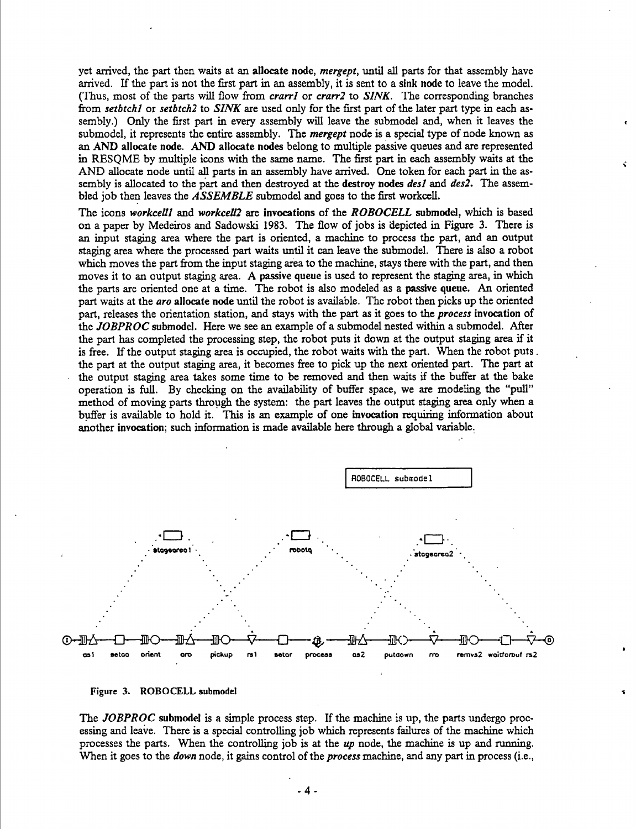yet arrived, the part then waits at an allocate node, *mergept,* until all parts for that assembly have arrived. If the part is not the first part in an assembly, it is sent to a sink node to leave the model. (Thus, most of the parts will flow from *crarri* or *crarr2* to *SINK.* The corresponding branches from *setbtchl* or *setbtch2* to *SINK* are used only for the first part of the later part type in each assembly.) Only the first part in every assembly will leave the submodel and, when it leaves the submodel, it represents the entire assembly. The *mergept* node is a special type of node known as an AND allocate node. AND allocate nodes belong to multiple passive queues and are represented in RESQME by multiple icons with the same name. The first part in each assembly waits at the AND allocate node until all parts in an assembly have arrived. One token for each part in the assembly is allocated to the part and then destroyed at the destroy nodes *desi* and *des2.* The assembled job then leaves the *ASSEMBLE* submodel and goes to the first workcell.

The icons *workcelll* and *workcell2* are invocations of the *ROBOCELL* submodel, which is based on a paper by Medeiros and Sadowski 1983. The flow of jobs is depicted in Figure 3. There is an input staging area where the part is oriented, a machine to process the part, and an output staging area where the processed part waits imtil it can leave the submodel. There is also a robot which moves the part from the input staging area to the machine, stays there with the part, and then moves it to an output staging area. A passive queue is used to represent the staging area, in which the parts are oriented one at a time. The robot is also modeled as a passive queue. An oriented part waits at the *aro* allocate node until the robot is available. The robot then picks up the oriented part, releases the orientation station, and stays with the part as it goes to the *process* invocation of the *JOBPROC* submodel. Here we see an example of a submodel nested within a submodel. After the part has completed the processing step, the robot puts it down at the output staging area if it is free. If the output staging area is occupied, the robot waits with the part. When the robot puts. the part at the output staging area, it becomes firee to pick up the next oriented part. The part at the output staging area takes some time to be removed and then waits if the buffer at the bake operation is full. By checking on the availability of buffer space, we are modeling the "pull" method of moving parts through the system; the part leaves the output staging area only when a buffer is available to hold it. This is an example of one invocation requiring information about another invocation; such information is made available here through a global variable.





The *JOBPROC* submodel is a simple process step. If the machine is up, the parts undergo processing and leave. There is a special controlling job which represents failures of the machine which processes the parts. When the controlling job is at the *up* node, the machine is up and running. When it goes to the *down* node, it gains control of the *process* machine, and any part in process (i.e.,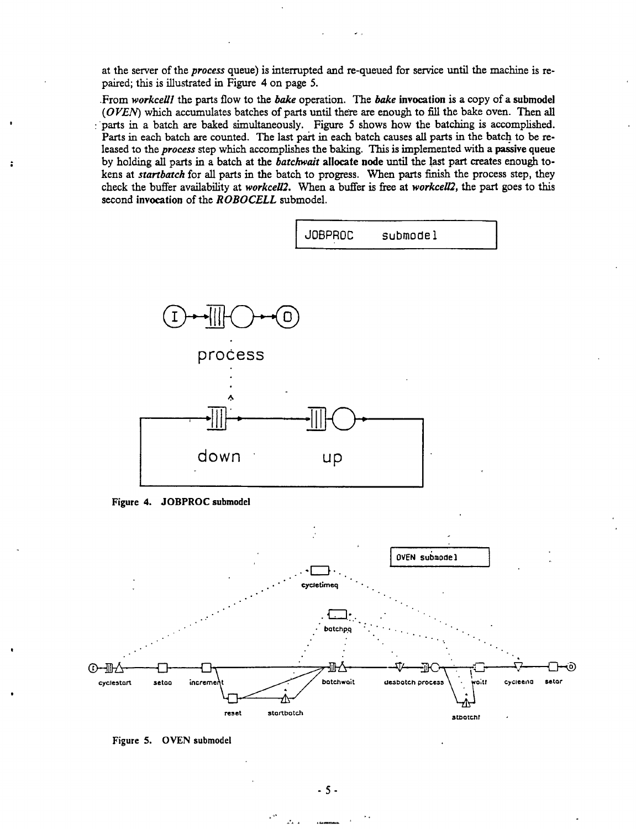at the server of the process queue) is interrupted and re-queued for service until the machine is repaired; this is illustrated in Figure 4 on page 5.

From workcell the parts flow to the bake operation. The bake invocation is a copy of a submodel (OVEN) which accumulates batches of parts until there are enough to fill the bake oven. Then all parts in a batch are baked simultaneously. Figure 5 shows how the batching is accomplished. Parts in each batch are counted. The last part in each batch causes all parts in the batch to be released to the process step which accomplishes the baking. This is implemented with a passive queue by holding all parts in a batch at the *batchwait* allocate node until the last part creates enough tokens at startbatch for all parts in the batch to progress. When parts finish the process step, they check the buffer availability at workcell2. When a buffer is free at workcell2, the part goes to this second invocation of the ROBOCELL submodel.



Figure 4. JOBPROC submodel



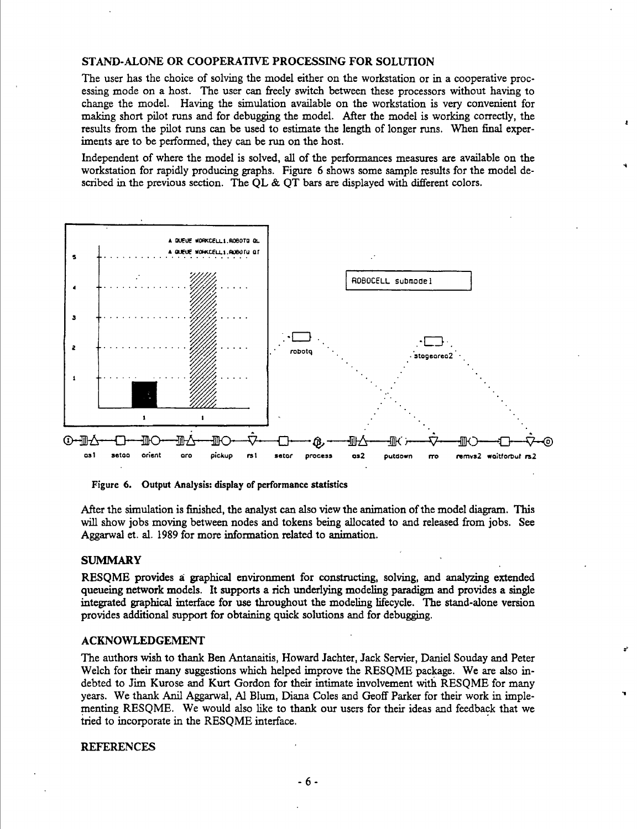#### STAND-ALONE OR COOPERATIVE PROCESSING FOR SOLUTION

The user has the choice of solving the model either on the workstation or in a cooperative processing mode on a host. The user can freely switch between these processors without having to change the model. Having the simulation available on the workstation is very convenient for making short pilot runs and for debugging the model. After the model is working correctly, the results from the pilot runs can be used to estimate the length of longer runs. When final experiments are to be performed, they can be run on the host.

Independent of where the model is solved, all of the performances measures are available on the workstation for rapidly producing graphs. Figure 6 shows some sample results for the model described in the previous section. The QL & QT bars are displayed with different colors.



Figure 6. Output Analysis: display of performance statistics

After the simulation is finished, the analyst can also view the animation of the model diagram. This will show jobs moving between nodes and tokens being allocated to and released from jobs. See Aggarwal et. al. 1989 for more information related to animation.

#### **SUMMARY**

RESOME provides a graphical environment for constructing, solving, and analyzing extended queueing network models. It supports a rich underlying modeling paradigm and provides a single integrated graphical interface for use throughout the modeling lifecycle. The stand-alone version provides additional support for obtaining quick solutions and for debugging.

#### **ACKNOWLEDGEMENT**

The authors wish to thank Ben Antanaitis, Howard Jachter, Jack Servier, Daniel Souday and Peter Welch for their many suggestions which helped improve the RESOME package. We are also indebted to Jim Kurose and Kurt Gordon for their intimate involvement with RESOME for many years. We thank Anil Aggarwal, Al Blum, Diana Coles and Geoff Parker for their work in implementing RESQME. We would also like to thank our users for their ideas and feedback that we tried to incorporate in the RESQME interface.

#### **REFERENCES**